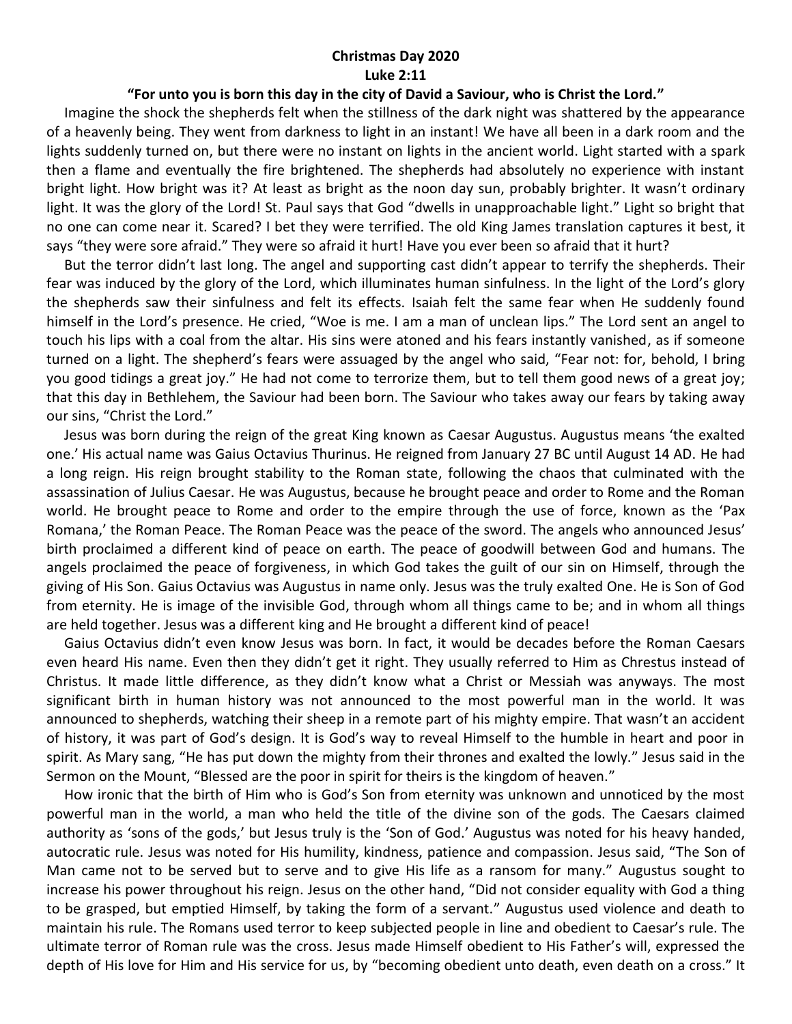## **Christmas Day 2020 Luke 2:11**

## **"For unto you is born this day in the city of David a Saviour, who is Christ the Lord."**

 Imagine the shock the shepherds felt when the stillness of the dark night was shattered by the appearance of a heavenly being. They went from darkness to light in an instant! We have all been in a dark room and the lights suddenly turned on, but there were no instant on lights in the ancient world. Light started with a spark then a flame and eventually the fire brightened. The shepherds had absolutely no experience with instant bright light. How bright was it? At least as bright as the noon day sun, probably brighter. It wasn't ordinary light. It was the glory of the Lord! St. Paul says that God "dwells in unapproachable light." Light so bright that no one can come near it. Scared? I bet they were terrified. The old King James translation captures it best, it says "they were sore afraid." They were so afraid it hurt! Have you ever been so afraid that it hurt?

 But the terror didn't last long. The angel and supporting cast didn't appear to terrify the shepherds. Their fear was induced by the glory of the Lord, which illuminates human sinfulness. In the light of the Lord's glory the shepherds saw their sinfulness and felt its effects. Isaiah felt the same fear when He suddenly found himself in the Lord's presence. He cried, "Woe is me. I am a man of unclean lips." The Lord sent an angel to touch his lips with a coal from the altar. His sins were atoned and his fears instantly vanished, as if someone turned on a light. The shepherd's fears were assuaged by the angel who said, "Fear not: for, behold, I bring you good tidings a great joy." He had not come to terrorize them, but to tell them good news of a great joy; that this day in Bethlehem, the Saviour had been born. The Saviour who takes away our fears by taking away our sins, "Christ the Lord."

 Jesus was born during the reign of the great King known as Caesar Augustus. Augustus means 'the exalted one.' His actual name was Gaius Octavius Thurinus. He reigned from January 27 BC until August 14 AD. He had a long reign. His reign brought stability to the Roman state, following the chaos that culminated with the assassination of Julius Caesar. He was Augustus, because he brought peace and order to Rome and the Roman world. He brought peace to Rome and order to the empire through the use of force, known as the 'Pax Romana,' the Roman Peace. The Roman Peace was the peace of the sword. The angels who announced Jesus' birth proclaimed a different kind of peace on earth. The peace of goodwill between God and humans. The angels proclaimed the peace of forgiveness, in which God takes the guilt of our sin on Himself, through the giving of His Son. Gaius Octavius was Augustus in name only. Jesus was the truly exalted One. He is Son of God from eternity. He is image of the invisible God, through whom all things came to be; and in whom all things are held together. Jesus was a different king and He brought a different kind of peace!

 Gaius Octavius didn't even know Jesus was born. In fact, it would be decades before the Roman Caesars even heard His name. Even then they didn't get it right. They usually referred to Him as Chrestus instead of Christus. It made little difference, as they didn't know what a Christ or Messiah was anyways. The most significant birth in human history was not announced to the most powerful man in the world. It was announced to shepherds, watching their sheep in a remote part of his mighty empire. That wasn't an accident of history, it was part of God's design. It is God's way to reveal Himself to the humble in heart and poor in spirit. As Mary sang, "He has put down the mighty from their thrones and exalted the lowly." Jesus said in the Sermon on the Mount, "Blessed are the poor in spirit for theirs is the kingdom of heaven."

 How ironic that the birth of Him who is God's Son from eternity was unknown and unnoticed by the most powerful man in the world, a man who held the title of the divine son of the gods. The Caesars claimed authority as 'sons of the gods,' but Jesus truly is the 'Son of God.' Augustus was noted for his heavy handed, autocratic rule. Jesus was noted for His humility, kindness, patience and compassion. Jesus said, "The Son of Man came not to be served but to serve and to give His life as a ransom for many." Augustus sought to increase his power throughout his reign. Jesus on the other hand, "Did not consider equality with God a thing to be grasped, but emptied Himself, by taking the form of a servant." Augustus used violence and death to maintain his rule. The Romans used terror to keep subjected people in line and obedient to Caesar's rule. The ultimate terror of Roman rule was the cross. Jesus made Himself obedient to His Father's will, expressed the depth of His love for Him and His service for us, by "becoming obedient unto death, even death on a cross." It